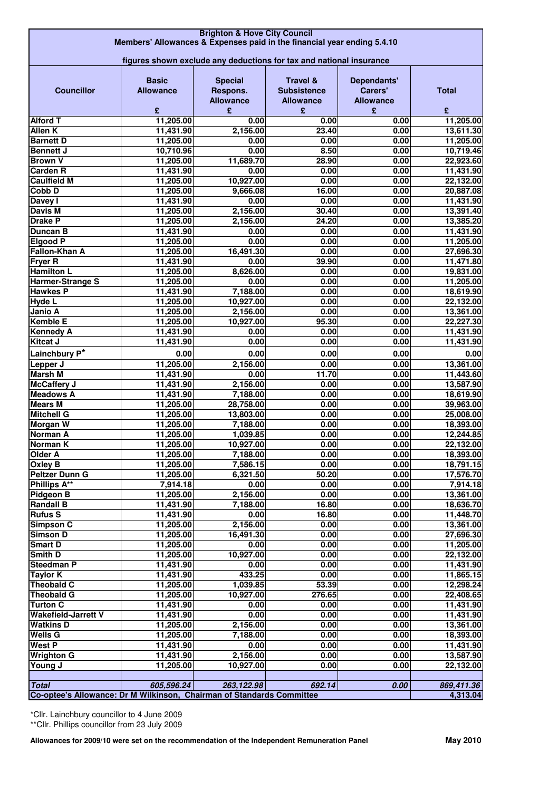| <b>Brighton &amp; Hove City Council</b>                                 |                  |                  |                     |                  |              |  |  |
|-------------------------------------------------------------------------|------------------|------------------|---------------------|------------------|--------------|--|--|
| Members' Allowances & Expenses paid in the financial year ending 5.4.10 |                  |                  |                     |                  |              |  |  |
| figures shown exclude any deductions for tax and national insurance     |                  |                  |                     |                  |              |  |  |
|                                                                         |                  |                  |                     |                  |              |  |  |
|                                                                         | <b>Basic</b>     | <b>Special</b>   | <b>Travel &amp;</b> | Dependants'      |              |  |  |
| <b>Councillor</b>                                                       | <b>Allowance</b> | Respons.         | <b>Subsistence</b>  | Carers'          | <b>Total</b> |  |  |
|                                                                         |                  | <b>Allowance</b> | <b>Allowance</b>    | <b>Allowance</b> |              |  |  |
|                                                                         | £                | £                | £                   | £                | £            |  |  |
| <b>Alford T</b>                                                         | 11,205.00        | 0.00             | 0.00                | 0.00             | 11,205.00    |  |  |
| Allen K                                                                 | 11,431.90        | 2,156.00         | 23.40               | 0.00             | 13,611.30    |  |  |
| <b>Barnett D</b>                                                        | 11,205.00        | 0.00             | 0.00                | 0.00             | 11,205.00    |  |  |
| <b>Bennett J</b>                                                        | 10,710.96        | 0.00             | 8.50                | 0.00             | 10,719.46    |  |  |
| <b>Brown V</b>                                                          | 11,205.00        | 11,689.70        | 28.90               | 0.00             | 22,923.60    |  |  |
| <b>Carden R</b>                                                         | 11,431.90        | 0.00             | 0.00                | 0.00             | 11,431.90    |  |  |
| <b>Caulfield M</b>                                                      | 11,205.00        | 10,927.00        | 0.00                | 0.00             | 22,132.00    |  |  |
| Cobb D                                                                  | 11,205.00        | 9,666.08         | 16.00               | 0.00             | 20,887.08    |  |  |
| Davey I                                                                 | 11,431.90        | 0.00             | 0.00                | 0.00             | 11,431.90    |  |  |
| <b>Davis M</b>                                                          | 11,205.00        | 2,156.00         | 30.40               | 0.00             | 13,391.40    |  |  |
| <b>Drake P</b>                                                          | 11,205.00        | 2,156.00         | 24.20               | 0.00             | 13,385.20    |  |  |
| <b>Duncan B</b>                                                         | 11,431.90        | 0.00             | 0.00                | 0.00             | 11,431.90    |  |  |
| <b>Elgood P</b>                                                         | 11,205.00        | 0.00             | 0.00                | 0.00             | 11,205.00    |  |  |
| Fallon-Khan A                                                           | 11,205.00        | 16,491.30        | 0.00                | 0.00             | 27,696.30    |  |  |
| <b>Fryer R</b>                                                          | 11,431.90        | 0.00             | 39.90               | 0.00             | 11,471.80    |  |  |
| <b>Hamilton L</b>                                                       | 11,205.00        | 8,626.00         | 0.00                | 0.00             | 19,831.00    |  |  |
| Harmer-Strange S                                                        | 11,205.00        | 0.00             | 0.00                | 0.00             | 11,205.00    |  |  |
| <b>Hawkes P</b>                                                         | 11,431.90        | 7,188.00         | 0.00                | 0.00             | 18,619.90    |  |  |
| <b>Hyde L</b>                                                           | 11,205.00        | 10,927.00        | 0.00                | 0.00             | 22,132.00    |  |  |
| Janio A                                                                 | 11,205.00        | 2,156.00         | 0.00                | 0.00             | 13,361.00    |  |  |
| <b>Kemble E</b>                                                         | 11,205.00        | 10,927.00        | 95.30               | 0.00             | 22,227.30    |  |  |
| <b>Kennedy A</b>                                                        | 11,431.90        | 0.00             | 0.00                | 0.00             | 11,431.90    |  |  |
| <b>Kitcat J</b>                                                         | 11,431.90        | 0.00             | 0.00                | 0.00             | 11,431.90    |  |  |
| Lainchbury P*                                                           | 0.00             | 0.00             | 0.00                | 0.00             | 0.00         |  |  |
| Lepper J                                                                | 11,205.00        | 2,156.00         | 0.00                | 0.00             | 13,361.00    |  |  |
| <b>Marsh M</b>                                                          | 11,431.90        | 0.00             | 11.70               | 0.00             | 11,443.60    |  |  |
| <b>McCaffery J</b>                                                      | 11,431.90        | 2,156.00         | 0.00                | 0.00             | 13,587.90    |  |  |
| <b>Meadows A</b>                                                        | 11,431.90        | 7,188.00         | 0.00                | 0.00             | 18,619.90    |  |  |
| <b>Mears M</b>                                                          | 11,205.00        | 28,758.00        | 0.00                | 0.00             | 39,963.00    |  |  |
| <b>Mitchell G</b>                                                       | 11,205.00        | 13,803.00        | 0.00                | 0.00             | 25,008.00    |  |  |
| <b>Morgan W</b>                                                         | 11,205.00        | 7,188.00         | 0.00                | 0.00             | 18,393.00    |  |  |
| Norman A                                                                | 11,205.00        | 1,039.85         | 0.00                | 0.00             | 12,244.85    |  |  |
| Norman K                                                                | 11,205.00        | 10,927.00        | $\overline{0.00}$   | 0.00             | 22,132.00    |  |  |
| <b>Older A</b>                                                          | 11,205.00        | 7,188.00         | 0.00                | 0.00             | 18,393.00    |  |  |
| Oxley B                                                                 | 11,205.00        | 7,586.15         | 0.00                | 0.00             | 18,791.15    |  |  |
| <b>Peltzer Dunn G</b>                                                   | 11,205.00        | 6,321.50         | 50.20               | 0.00             | 17,576.70    |  |  |
| <b>Phillips A**</b>                                                     | 7,914.18         | 0.00             | 0.00                | 0.00             | 7,914.18     |  |  |
| Pidgeon B                                                               | 11,205.00        | 2,156.00         | 0.00                | 0.00             | 13,361.00    |  |  |
| <b>Randall B</b>                                                        | 11,431.90        | 7,188.00         | 16.80               | 0.00             | 18,636.70    |  |  |
| <b>Rufus S</b>                                                          | 11,431.90        | 0.00             | 16.80               | 0.00             | 11,448.70    |  |  |
| Simpson C                                                               | 11,205.00        | 2,156.00         | 0.00                | 0.00             | 13,361.00    |  |  |
| <b>Simson D</b>                                                         | 11,205.00        | 16,491.30        | 0.00                | 0.00             | 27,696.30    |  |  |
| <b>Smart D</b>                                                          | 11,205.00        | 0.00             | $\overline{0.00}$   | 0.00             | 11,205.00    |  |  |
| Smith D                                                                 | 11,205.00        | 10,927.00        | 0.00                | 0.00             | 22,132.00    |  |  |
| <b>Steedman P</b>                                                       | 11,431.90        | 0.00             | 0.00                | 0.00             | 11,431.90    |  |  |
| <b>Taylor K</b>                                                         | 11,431.90        | 433.25           | 0.00                | 0.00             | 11,865.15    |  |  |
| Theobald C                                                              | 11,205.00        | 1,039.85         | 53.39               | 0.00             | 12,298.24    |  |  |
| <b>Theobald G</b>                                                       | 11,205.00        | 10,927.00        | 276.65              | 0.00             | 22,408.65    |  |  |
| <b>Turton C</b>                                                         | 11,431.90        | 0.00             | 0.00                | 0.00             | 11,431.90    |  |  |
| <b>Wakefield-Jarrett V</b>                                              | 11,431.90        | 0.00             | 0.00                | 0.00             | 11,431.90    |  |  |
| <b>Watkins D</b>                                                        | 11,205.00        | 2,156.00         | $\overline{0.00}$   | 0.00             | 13,361.00    |  |  |
| <b>Wells G</b>                                                          | 11,205.00        | 7,188.00         | 0.00                | 0.00             | 18,393.00    |  |  |
| <b>West P</b>                                                           | 11,431.90        | 0.00             | 0.00                | 0.00             | 11,431.90    |  |  |
| <b>Wrighton G</b>                                                       | 11,431.90        | 2,156.00         | 0.00                | 0.00             | 13,587.90    |  |  |
| Young J                                                                 | 11,205.00        | 10,927.00        | 0.00                | 0.00             | 22,132.00    |  |  |
|                                                                         |                  |                  |                     |                  |              |  |  |
| <b>Total</b>                                                            | 605,596.24       | 263,122.98       | 692.14              | 0.00             | 869,411.36   |  |  |
| Co-optee's Allowance: Dr M Wilkinson, Chairman of Standards Committee   |                  |                  |                     |                  | 4,313.04     |  |  |

\*Cllr. Lainchbury councillor to 4 June 2009 \*\*Cllr. Phillips councillor from 23 July 2009